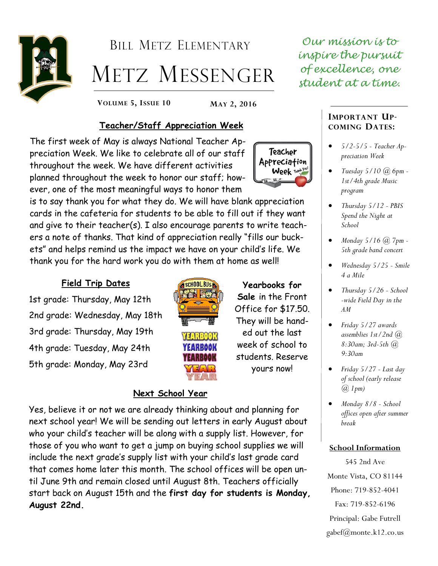

# BILL METZ ELEMENTARY METZ MESSENGER

**VOLUME 5, ISSUE 10 MAY 2, 2016**

### **Teacher/Staff Appreciation Week**

The first week of May is always National Teacher Appreciation Week. We like to celebrate all of our staff throughout the week. We have different activities planned throughout the week to honor our staff; however, one of the most meaningful ways to honor them

Teacher Appreciation Week Thank Yo

**Yearbooks for Sale** in the Front Office for \$17.50. They will be handed out the last week of school to students. Reserve yours now!

is to say thank you for what they do. We will have blank appreciation cards in the cafeteria for students to be able to fill out if they want and give to their teacher(s). I also encourage parents to write teachers a note of thanks. That kind of appreciation really "fills our buckets" and helps remind us the impact we have on your child's life. We thank you for the hard work you do with them at home as well!

#### **Field Trip Dates**

1st grade: Thursday, May 12th 2nd grade: Wednesday, May 18th 3rd grade: Thursday, May 19th 4th grade: Tuesday, May 24th 5th grade: Monday, May 23rd





#### **Next School Year**

Yes, believe it or not we are already thinking about and planning for next school year! We will be sending out letters in early August about who your child's teacher will be along with a supply list. However, for those of you who want to get a jump on buying school supplies we will include the next grade's supply list with your child's last grade card that comes home later this month. The school offices will be open until June 9th and remain closed until August 8th. Teachers officially start back on August 15th and the **first day for students is Monday, August 22nd.** 

*Our mission is to inspire the pursuit of excellence, one student at a time.*

#### **IMPORTANT UP-COMING DATES:**

- *5/2-5/5 - Teacher Appreciation Week*
- *Tuesday 5/10 @ 6pm - 1st/4th grade Music program*
- *Thursday 5/12 - PBIS Spend the Night at School*
- *Monday 5/16 @ 7pm - 5th grade band concert*
- *Wednesday 5/25 - Smile 4 a Mile*
- *Thursday 5/26 - School -wide Field Day in the AM*
- *Friday 5/27 awards assemblies 1st/2nd @ 8:30am; 3rd-5th @ 9:30am*
- *Friday 5/27 - Last day of school (early release @ 1pm)*
- *Monday 8/8 - School offices open after summer break*

#### **School Information**

545 2nd Ave Monte Vista, CO 81144 Phone: 719-852-4041 Fax: 719-852-6196 Principal: Gabe Futrell gabef@monte.k12.co.us